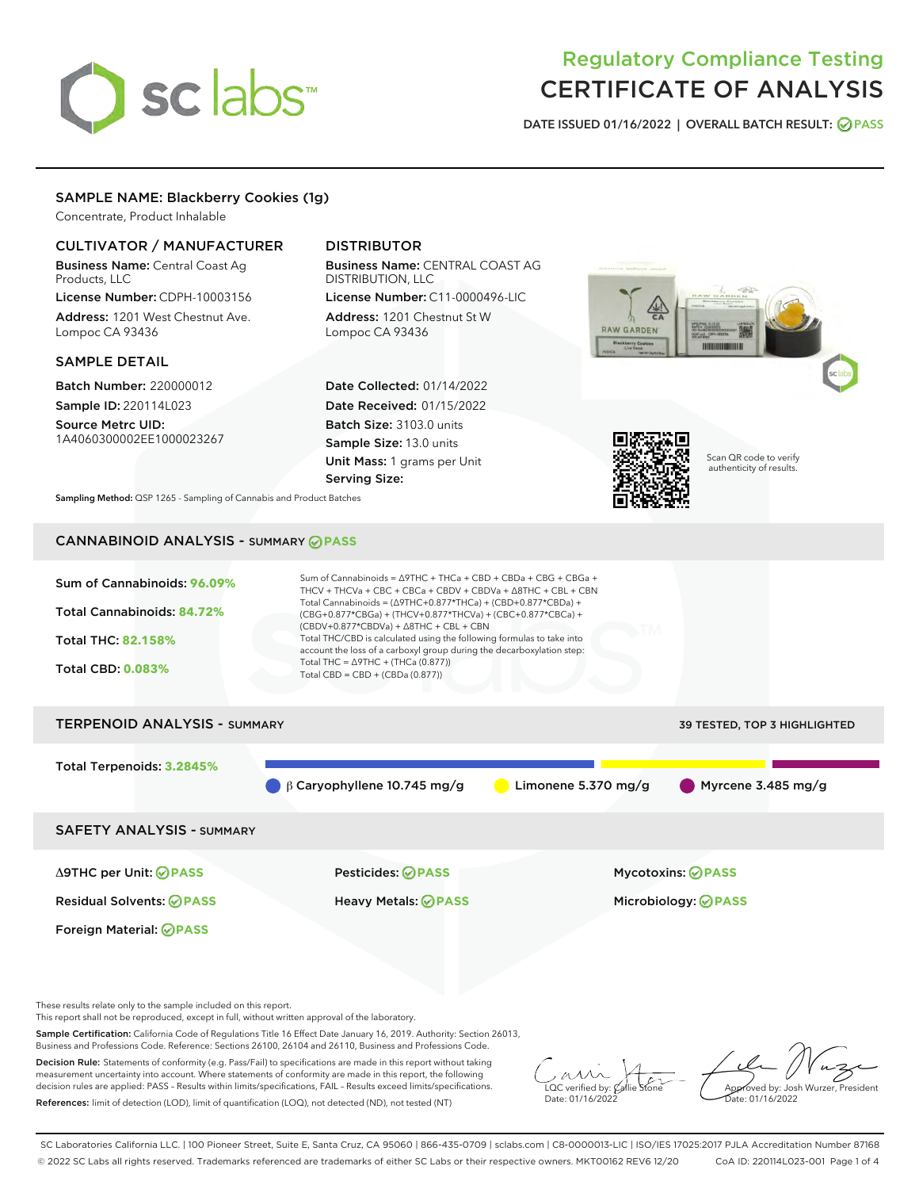# sclabs<sup>\*</sup>

# Regulatory Compliance Testing CERTIFICATE OF ANALYSIS

DATE ISSUED 01/16/2022 | OVERALL BATCH RESULT: @ PASS

# SAMPLE NAME: Blackberry Cookies (1g)

Concentrate, Product Inhalable

# CULTIVATOR / MANUFACTURER

Business Name: Central Coast Ag Products, LLC License Number: CDPH-10003156

Address: 1201 West Chestnut Ave. Lompoc CA 93436

### SAMPLE DETAIL

Batch Number: 220000012 Sample ID: 220114L023

Source Metrc UID: 1A4060300002EE1000023267

# DISTRIBUTOR

Business Name: CENTRAL COAST AG DISTRIBUTION, LLC

License Number: C11-0000496-LIC Address: 1201 Chestnut St W Lompoc CA 93436

Date Collected: 01/14/2022 Date Received: 01/15/2022 Batch Size: 3103.0 units Sample Size: 13.0 units Unit Mass: 1 grams per Unit Serving Size:





Scan QR code to verify authenticity of results.

Sampling Method: QSP 1265 - Sampling of Cannabis and Product Batches

# CANNABINOID ANALYSIS - SUMMARY **PASS**

| Sum of Cannabinoids: 96.09%<br>Total Cannabinoids: 84.72%<br><b>Total THC: 82.158%</b><br><b>Total CBD: 0.083%</b> | Sum of Cannabinoids = $\triangle$ 9THC + THCa + CBD + CBDa + CBG + CBGa +<br>THCV + THCVa + CBC + CBCa + CBDV + CBDVa + $\Delta$ 8THC + CBL + CBN<br>Total Cannabinoids = $(\Delta$ 9THC+0.877*THCa) + (CBD+0.877*CBDa) +<br>$(CBG+0.877*CBGa) + (THCV+0.877*THCVa) + (CBC+0.877*CBCa) +$<br>$(CBDV+0.877*CBDVa) + \Delta 8THC + CBL + CBN$<br>Total THC/CBD is calculated using the following formulas to take into<br>account the loss of a carboxyl group during the decarboxylation step:<br>Total THC = $\triangle$ 9THC + (THCa (0.877))<br>Total CBD = $CBD + (CBDa (0.877))$ |                                     |
|--------------------------------------------------------------------------------------------------------------------|--------------------------------------------------------------------------------------------------------------------------------------------------------------------------------------------------------------------------------------------------------------------------------------------------------------------------------------------------------------------------------------------------------------------------------------------------------------------------------------------------------------------------------------------------------------------------------------|-------------------------------------|
| <b>TERPENOID ANALYSIS - SUMMARY</b>                                                                                |                                                                                                                                                                                                                                                                                                                                                                                                                                                                                                                                                                                      | <b>39 TESTED, TOP 3 HIGHLIGHTED</b> |
| Total Terpenoids: 3.2845%                                                                                          | $\beta$ Caryophyllene 10.745 mg/g<br>Limonene 5.370 mg/g                                                                                                                                                                                                                                                                                                                                                                                                                                                                                                                             | $\blacksquare$ Myrcene 3.485 mg/g   |

SAFETY ANALYSIS - SUMMARY

Δ9THC per Unit: **PASS** Pesticides: **PASS** Mycotoxins: **PASS**

Foreign Material: **PASS**

Residual Solvents: **PASS** Heavy Metals: **PASS** Microbiology: **PASS**

These results relate only to the sample included on this report.

This report shall not be reproduced, except in full, without written approval of the laboratory.

Sample Certification: California Code of Regulations Title 16 Effect Date January 16, 2019. Authority: Section 26013, Business and Professions Code. Reference: Sections 26100, 26104 and 26110, Business and Professions Code.

Decision Rule: Statements of conformity (e.g. Pass/Fail) to specifications are made in this report without taking measurement uncertainty into account. Where statements of conformity are made in this report, the following decision rules are applied: PASS – Results within limits/specifications, FAIL – Results exceed limits/specifications. References: limit of detection (LOD), limit of quantification (LOQ), not detected (ND), not tested (NT)

 $\overline{\text{LOC}}$  verified by:  $\mathcal C$ Date: 01/16/2022

Approved by: Josh Wurzer, President te: 01/16/2022

SC Laboratories California LLC. | 100 Pioneer Street, Suite E, Santa Cruz, CA 95060 | 866-435-0709 | sclabs.com | C8-0000013-LIC | ISO/IES 17025:2017 PJLA Accreditation Number 87168 © 2022 SC Labs all rights reserved. Trademarks referenced are trademarks of either SC Labs or their respective owners. MKT00162 REV6 12/20 CoA ID: 220114L023-001 Page 1 of 4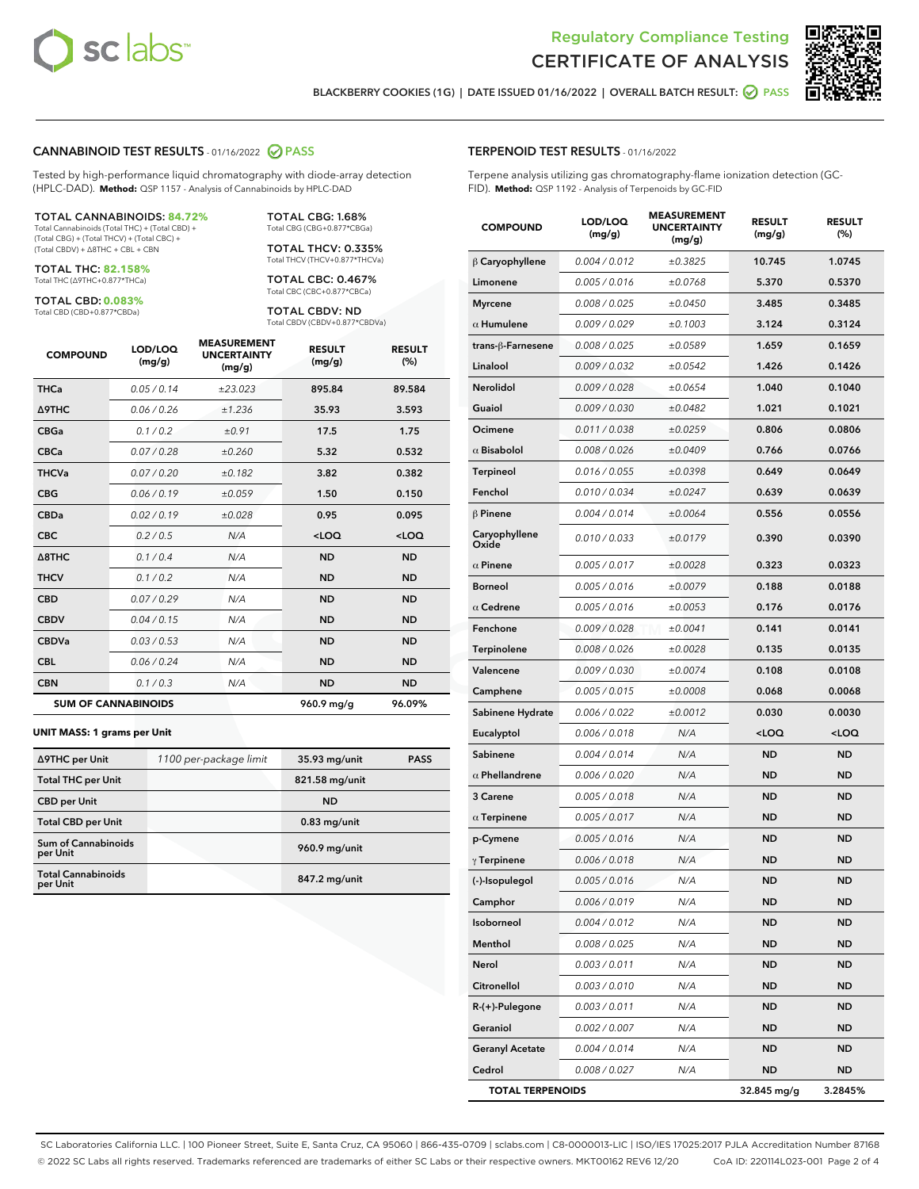



BLACKBERRY COOKIES (1G) | DATE ISSUED 01/16/2022 | OVERALL BATCH RESULT: @ PASS

# CANNABINOID TEST RESULTS - 01/16/2022 2 PASS

Tested by high-performance liquid chromatography with diode-array detection (HPLC-DAD). **Method:** QSP 1157 - Analysis of Cannabinoids by HPLC-DAD

#### TOTAL CANNABINOIDS: **84.72%**

Total Cannabinoids (Total THC) + (Total CBD) + (Total CBG) + (Total THCV) + (Total CBC) + (Total CBDV) + ∆8THC + CBL + CBN

TOTAL THC: **82.158%** Total THC (∆9THC+0.877\*THCa)

TOTAL CBD: **0.083%**

Total CBD (CBD+0.877\*CBDa)

TOTAL CBG: 1.68% Total CBG (CBG+0.877\*CBGa)

TOTAL THCV: 0.335% Total THCV (THCV+0.877\*THCVa)

TOTAL CBC: 0.467% Total CBC (CBC+0.877\*CBCa)

TOTAL CBDV: ND Total CBDV (CBDV+0.877\*CBDVa)

| <b>COMPOUND</b>            | LOD/LOQ<br>(mg/g) | <b>MEASUREMENT</b><br><b>UNCERTAINTY</b><br>(mg/g) | <b>RESULT</b><br>(mg/g) | <b>RESULT</b><br>(%) |
|----------------------------|-------------------|----------------------------------------------------|-------------------------|----------------------|
| <b>THCa</b>                | 0.05/0.14         | ±23.023                                            | 895.84                  | 89.584               |
| <b>A9THC</b>               | 0.06 / 0.26       | ±1.236                                             | 35.93                   | 3.593                |
| <b>CBGa</b>                | 0.1 / 0.2         | ±0.91                                              | 17.5                    | 1.75                 |
| <b>CBCa</b>                | 0.07/0.28         | ±0.260                                             | 5.32                    | 0.532                |
| <b>THCVa</b>               | 0.07 / 0.20       | ±0.182                                             | 3.82                    | 0.382                |
| <b>CBG</b>                 | 0.06/0.19         | ±0.059                                             | 1.50                    | 0.150                |
| <b>CBDa</b>                | 0.02/0.19         | ±0.028                                             | 0.95                    | 0.095                |
| <b>CBC</b>                 | 0.2 / 0.5         | N/A                                                | $<$ LOQ                 | $<$ LOQ              |
| A8THC                      | 0.1/0.4           | N/A                                                | <b>ND</b>               | <b>ND</b>            |
| <b>THCV</b>                | 0.1/0.2           | N/A                                                | <b>ND</b>               | <b>ND</b>            |
| <b>CBD</b>                 | 0.07/0.29         | N/A                                                | <b>ND</b>               | <b>ND</b>            |
| <b>CBDV</b>                | 0.04 / 0.15       | N/A                                                | <b>ND</b>               | <b>ND</b>            |
| <b>CBDVa</b>               | 0.03/0.53         | N/A                                                | <b>ND</b>               | <b>ND</b>            |
| <b>CBL</b>                 | 0.06 / 0.24       | N/A                                                | <b>ND</b>               | <b>ND</b>            |
| <b>CBN</b>                 | 0.1/0.3           | N/A                                                | <b>ND</b>               | <b>ND</b>            |
| <b>SUM OF CANNABINOIDS</b> |                   |                                                    | 960.9 mg/g              | 96.09%               |

#### **UNIT MASS: 1 grams per Unit**

| ∆9THC per Unit                         | 1100 per-package limit | 35.93 mg/unit  | <b>PASS</b> |
|----------------------------------------|------------------------|----------------|-------------|
| <b>Total THC per Unit</b>              |                        | 821.58 mg/unit |             |
| <b>CBD per Unit</b>                    |                        | <b>ND</b>      |             |
| <b>Total CBD per Unit</b>              |                        | $0.83$ mg/unit |             |
| <b>Sum of Cannabinoids</b><br>per Unit |                        | 960.9 mg/unit  |             |
| <b>Total Cannabinoids</b><br>per Unit  |                        | 847.2 mg/unit  |             |

#### TERPENOID TEST RESULTS - 01/16/2022

Terpene analysis utilizing gas chromatography-flame ionization detection (GC-FID). **Method:** QSP 1192 - Analysis of Terpenoids by GC-FID

| <b>COMPOUND</b>         | LOD/LOQ<br>(mg/g) | <b>MEASUREMENT</b><br><b>UNCERTAINTY</b><br>(mg/g) | <b>RESULT</b><br>(mg/g)                          | <b>RESULT</b><br>(%) |
|-------------------------|-------------------|----------------------------------------------------|--------------------------------------------------|----------------------|
| $\beta$ Caryophyllene   | 0.004 / 0.012     | ±0.3825                                            | 10.745                                           | 1.0745               |
| Limonene                | 0.005 / 0.016     | ±0.0768                                            | 5.370                                            | 0.5370               |
| <b>Myrcene</b>          | 0.008 / 0.025     | ±0.0450                                            | 3.485                                            | 0.3485               |
| $\alpha$ Humulene       | 0.009 / 0.029     | ±0.1003                                            | 3.124                                            | 0.3124               |
| trans-ß-Farnesene       | 0.008 / 0.025     | ±0.0589                                            | 1.659                                            | 0.1659               |
| Linalool                | 0.009 / 0.032     | ±0.0542                                            | 1.426                                            | 0.1426               |
| Nerolidol               | 0.009 / 0.028     | ±0.0654                                            | 1.040                                            | 0.1040               |
| Guaiol                  | 0.009 / 0.030     | ±0.0482                                            | 1.021                                            | 0.1021               |
| Ocimene                 | 0.011 / 0.038     | ±0.0259                                            | 0.806                                            | 0.0806               |
| $\alpha$ Bisabolol      | 0.008 / 0.026     | ±0.0409                                            | 0.766                                            | 0.0766               |
| <b>Terpineol</b>        | 0.016 / 0.055     | ±0.0398                                            | 0.649                                            | 0.0649               |
| Fenchol                 | 0.010 / 0.034     | ±0.0247                                            | 0.639                                            | 0.0639               |
| $\beta$ Pinene          | 0.004 / 0.014     | ±0.0064                                            | 0.556                                            | 0.0556               |
| Caryophyllene<br>Oxide  | 0.010 / 0.033     | ±0.0179                                            | 0.390                                            | 0.0390               |
| $\alpha$ Pinene         | 0.005 / 0.017     | ±0.0028                                            | 0.323                                            | 0.0323               |
| <b>Borneol</b>          | 0.005 / 0.016     | ±0.0079                                            | 0.188                                            | 0.0188               |
| $\alpha$ Cedrene        | 0.005 / 0.016     | ±0.0053                                            | 0.176                                            | 0.0176               |
| Fenchone                | 0.009 / 0.028     | ±0.0041                                            | 0.141                                            | 0.0141               |
| Terpinolene             | 0.008 / 0.026     | ±0.0028                                            | 0.135                                            | 0.0135               |
| Valencene               | 0.009 / 0.030     | ±0.0074                                            | 0.108                                            | 0.0108               |
| Camphene                | 0.005 / 0.015     | ±0.0008                                            | 0.068                                            | 0.0068               |
| Sabinene Hydrate        | 0.006 / 0.022     | ±0.0012                                            | 0.030                                            | 0.0030               |
| Eucalyptol              | 0.006 / 0.018     | N/A                                                | <loq< th=""><th><math>&lt;</math>LOQ</th></loq<> | $<$ LOQ              |
| Sabinene                | 0.004 / 0.014     | N/A                                                | <b>ND</b>                                        | <b>ND</b>            |
| $\alpha$ Phellandrene   | 0.006 / 0.020     | N/A                                                | ND                                               | ND                   |
| 3 Carene                | 0.005 / 0.018     | N/A                                                | <b>ND</b>                                        | ND                   |
| $\alpha$ Terpinene      | 0.005 / 0.017     | N/A                                                | <b>ND</b>                                        | <b>ND</b>            |
| p-Cymene                | 0.005 / 0.016     | N/A                                                | ND                                               | <b>ND</b>            |
| $\gamma$ Terpinene      | 0.006 / 0.018     | N/A                                                | <b>ND</b>                                        | ND                   |
| (-)-Isopulegol          | 0.005 / 0.016     | N/A                                                | <b>ND</b>                                        | <b>ND</b>            |
| Camphor                 | 0.006 / 0.019     | N/A                                                | ND                                               | ND                   |
| Isoborneol              | 0.004 / 0.012     | N/A                                                | <b>ND</b>                                        | <b>ND</b>            |
| Menthol                 | 0.008 / 0.025     | N/A                                                | <b>ND</b>                                        | <b>ND</b>            |
| Nerol                   | 0.003 / 0.011     | N/A                                                | ND                                               | <b>ND</b>            |
| Citronellol             | 0.003 / 0.010     | N/A                                                | ND                                               | ND                   |
| R-(+)-Pulegone          | 0.003 / 0.011     | N/A                                                | <b>ND</b>                                        | <b>ND</b>            |
| Geraniol                | 0.002 / 0.007     | N/A                                                | ND                                               | <b>ND</b>            |
| <b>Geranyl Acetate</b>  | 0.004 / 0.014     | N/A                                                | <b>ND</b>                                        | ND                   |
| Cedrol                  | 0.008 / 0.027     | N/A                                                | <b>ND</b>                                        | ND                   |
| <b>TOTAL TERPENOIDS</b> |                   |                                                    | 32.845 mg/g                                      | 3.2845%              |

SC Laboratories California LLC. | 100 Pioneer Street, Suite E, Santa Cruz, CA 95060 | 866-435-0709 | sclabs.com | C8-0000013-LIC | ISO/IES 17025:2017 PJLA Accreditation Number 87168 © 2022 SC Labs all rights reserved. Trademarks referenced are trademarks of either SC Labs or their respective owners. MKT00162 REV6 12/20 CoA ID: 220114L023-001 Page 2 of 4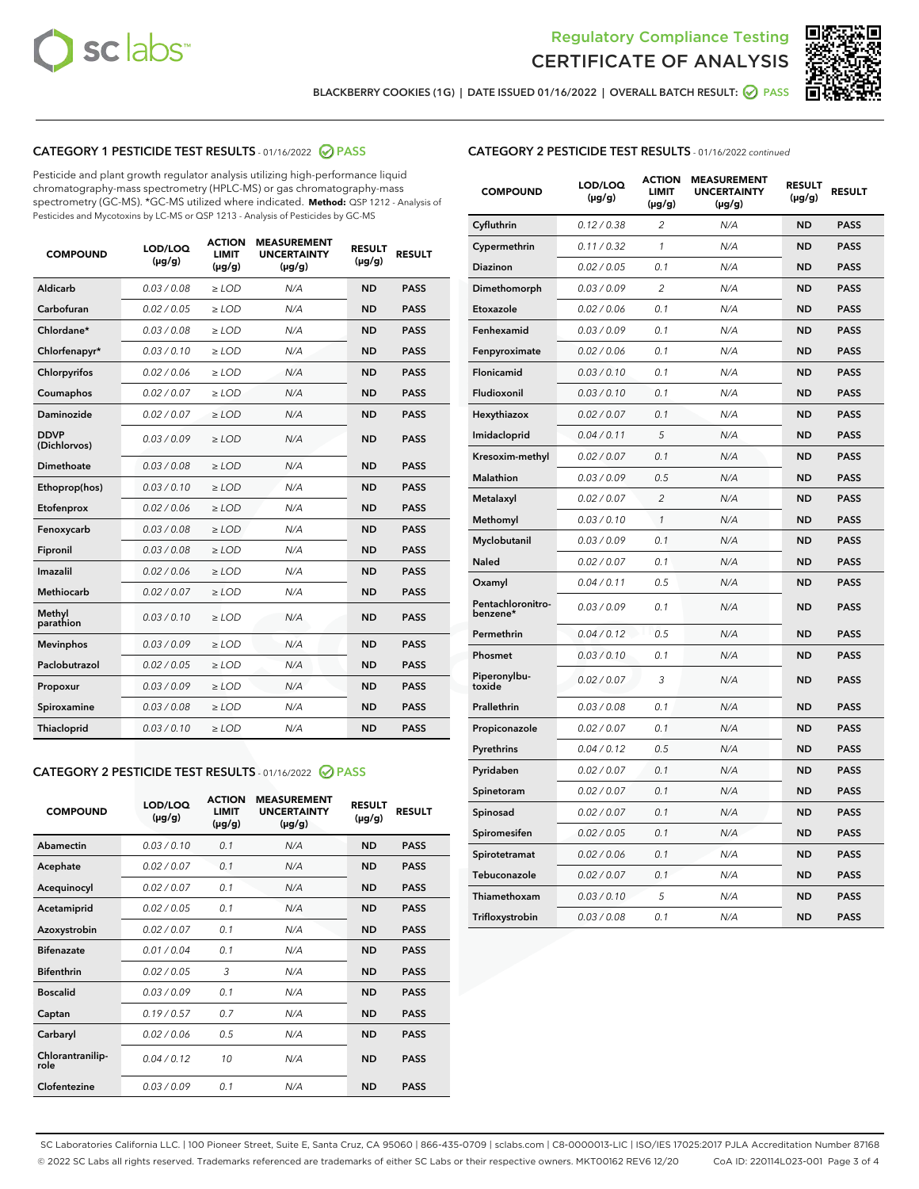



BLACKBERRY COOKIES (1G) | DATE ISSUED 01/16/2022 | OVERALL BATCH RESULT: @ PASS

# CATEGORY 1 PESTICIDE TEST RESULTS - 01/16/2022 2 PASS

Pesticide and plant growth regulator analysis utilizing high-performance liquid chromatography-mass spectrometry (HPLC-MS) or gas chromatography-mass spectrometry (GC-MS). \*GC-MS utilized where indicated. **Method:** QSP 1212 - Analysis of Pesticides and Mycotoxins by LC-MS or QSP 1213 - Analysis of Pesticides by GC-MS

| <b>COMPOUND</b>             | LOD/LOQ<br>$(\mu g/g)$ | <b>ACTION</b><br><b>LIMIT</b><br>$(\mu g/g)$ | <b>MEASUREMENT</b><br><b>UNCERTAINTY</b><br>$(\mu g/g)$ | <b>RESULT</b><br>$(\mu g/g)$ | <b>RESULT</b> |
|-----------------------------|------------------------|----------------------------------------------|---------------------------------------------------------|------------------------------|---------------|
| Aldicarb                    | 0.03/0.08              | $>$ LOD                                      | N/A                                                     | <b>ND</b>                    | <b>PASS</b>   |
| Carbofuran                  | 0.02 / 0.05            | $\ge$ LOD                                    | N/A                                                     | <b>ND</b>                    | <b>PASS</b>   |
| Chlordane*                  | 0.03 / 0.08            | $\ge$ LOD                                    | N/A                                                     | <b>ND</b>                    | <b>PASS</b>   |
| Chlorfenapyr*               | 0.03/0.10              | $\ge$ LOD                                    | N/A                                                     | <b>ND</b>                    | <b>PASS</b>   |
| Chlorpyrifos                | 0.02 / 0.06            | $\ge$ LOD                                    | N/A                                                     | <b>ND</b>                    | <b>PASS</b>   |
| Coumaphos                   | 0.02 / 0.07            | $\ge$ LOD                                    | N/A                                                     | <b>ND</b>                    | <b>PASS</b>   |
| Daminozide                  | 0.02/0.07              | $>$ LOD                                      | N/A                                                     | <b>ND</b>                    | <b>PASS</b>   |
| <b>DDVP</b><br>(Dichlorvos) | 0.03/0.09              | $\ge$ LOD                                    | N/A                                                     | <b>ND</b>                    | <b>PASS</b>   |
| <b>Dimethoate</b>           | 0.03/0.08              | $\ge$ LOD                                    | N/A                                                     | <b>ND</b>                    | <b>PASS</b>   |
| Ethoprop(hos)               | 0.03/0.10              | $\ge$ LOD                                    | N/A                                                     | <b>ND</b>                    | <b>PASS</b>   |
| Etofenprox                  | 0.02 / 0.06            | $\ge$ LOD                                    | N/A                                                     | <b>ND</b>                    | <b>PASS</b>   |
| Fenoxycarb                  | 0.03/0.08              | $\ge$ LOD                                    | N/A                                                     | <b>ND</b>                    | <b>PASS</b>   |
| Fipronil                    | 0.03/0.08              | $\ge$ LOD                                    | N/A                                                     | <b>ND</b>                    | <b>PASS</b>   |
| Imazalil                    | 0.02 / 0.06            | $>$ LOD                                      | N/A                                                     | <b>ND</b>                    | <b>PASS</b>   |
| Methiocarb                  | 0.02 / 0.07            | $>$ LOD                                      | N/A                                                     | <b>ND</b>                    | <b>PASS</b>   |
| Methyl<br>parathion         | 0.03/0.10              | $>$ LOD                                      | N/A                                                     | <b>ND</b>                    | <b>PASS</b>   |
| <b>Mevinphos</b>            | 0.03/0.09              | $\ge$ LOD                                    | N/A                                                     | <b>ND</b>                    | <b>PASS</b>   |
| Paclobutrazol               | 0.02 / 0.05            | $>$ LOD                                      | N/A                                                     | <b>ND</b>                    | <b>PASS</b>   |
| Propoxur                    | 0.03/0.09              | $\ge$ LOD                                    | N/A                                                     | <b>ND</b>                    | <b>PASS</b>   |
| Spiroxamine                 | 0.03 / 0.08            | $\ge$ LOD                                    | N/A                                                     | <b>ND</b>                    | <b>PASS</b>   |
| Thiacloprid                 | 0.03/0.10              | $\ge$ LOD                                    | N/A                                                     | <b>ND</b>                    | <b>PASS</b>   |

# CATEGORY 2 PESTICIDE TEST RESULTS - 01/16/2022 2 PASS

| <b>COMPOUND</b>          | LOD/LOO<br>$(\mu g/g)$ | <b>ACTION</b><br>LIMIT<br>$(\mu g/g)$ | <b>MEASUREMENT</b><br><b>UNCERTAINTY</b><br>$(\mu g/g)$ | <b>RESULT</b><br>$(\mu g/g)$ | <b>RESULT</b> |
|--------------------------|------------------------|---------------------------------------|---------------------------------------------------------|------------------------------|---------------|
| Abamectin                | 0.03/0.10              | 0.1                                   | N/A                                                     | <b>ND</b>                    | <b>PASS</b>   |
| Acephate                 | 0.02/0.07              | 0.1                                   | N/A                                                     | <b>ND</b>                    | <b>PASS</b>   |
| Acequinocyl              | 0.02/0.07              | 0.1                                   | N/A                                                     | <b>ND</b>                    | <b>PASS</b>   |
| Acetamiprid              | 0.02/0.05              | 0.1                                   | N/A                                                     | <b>ND</b>                    | <b>PASS</b>   |
| Azoxystrobin             | 0.02/0.07              | 0.1                                   | N/A                                                     | <b>ND</b>                    | <b>PASS</b>   |
| <b>Bifenazate</b>        | 0.01 / 0.04            | 0.1                                   | N/A                                                     | <b>ND</b>                    | <b>PASS</b>   |
| <b>Bifenthrin</b>        | 0.02 / 0.05            | 3                                     | N/A                                                     | <b>ND</b>                    | <b>PASS</b>   |
| <b>Boscalid</b>          | 0.03/0.09              | 0.1                                   | N/A                                                     | <b>ND</b>                    | <b>PASS</b>   |
| Captan                   | 0.19/0.57              | 0.7                                   | N/A                                                     | <b>ND</b>                    | <b>PASS</b>   |
| Carbaryl                 | 0.02/0.06              | 0.5                                   | N/A                                                     | <b>ND</b>                    | <b>PASS</b>   |
| Chlorantranilip-<br>role | 0.04/0.12              | 10                                    | N/A                                                     | <b>ND</b>                    | <b>PASS</b>   |
| Clofentezine             | 0.03/0.09              | 0.1                                   | N/A                                                     | <b>ND</b>                    | <b>PASS</b>   |

| <b>CATEGORY 2 PESTICIDE TEST RESULTS</b> - 01/16/2022 continued |
|-----------------------------------------------------------------|
|-----------------------------------------------------------------|

| <b>COMPOUND</b>               | LOD/LOQ<br>(µg/g) | <b>ACTION</b><br>LIMIT<br>(µg/g) | <b>MEASUREMENT</b><br><b>UNCERTAINTY</b><br>(µg/g) | <b>RESULT</b><br>(µg/g) | <b>RESULT</b> |
|-------------------------------|-------------------|----------------------------------|----------------------------------------------------|-------------------------|---------------|
| Cyfluthrin                    | 0.12 / 0.38       | $\overline{2}$                   | N/A                                                | <b>ND</b>               | <b>PASS</b>   |
| Cypermethrin                  | 0.11 / 0.32       | 1                                | N/A                                                | <b>ND</b>               | <b>PASS</b>   |
| Diazinon                      | 0.02 / 0.05       | 0.1                              | N/A                                                | ND                      | PASS          |
| Dimethomorph                  | 0.03 / 0.09       | $\overline{2}$                   | N/A                                                | <b>ND</b>               | <b>PASS</b>   |
| Etoxazole                     | 0.02 / 0.06       | 0.1                              | N/A                                                | <b>ND</b>               | <b>PASS</b>   |
| Fenhexamid                    | 0.03 / 0.09       | 0.1                              | N/A                                                | <b>ND</b>               | <b>PASS</b>   |
| Fenpyroximate                 | 0.02 / 0.06       | 0.1                              | N/A                                                | <b>ND</b>               | <b>PASS</b>   |
| <b>Flonicamid</b>             | 0.03/0.10         | 0.1                              | N/A                                                | <b>ND</b>               | <b>PASS</b>   |
| Fludioxonil                   | 0.03 / 0.10       | 0.1                              | N/A                                                | <b>ND</b>               | <b>PASS</b>   |
| Hexythiazox                   | 0.02 / 0.07       | 0.1                              | N/A                                                | <b>ND</b>               | <b>PASS</b>   |
| Imidacloprid                  | 0.04 / 0.11       | 5                                | N/A                                                | ND                      | <b>PASS</b>   |
| Kresoxim-methyl               | 0.02 / 0.07       | 0.1                              | N/A                                                | <b>ND</b>               | <b>PASS</b>   |
| Malathion                     | 0.03 / 0.09       | 0.5                              | N/A                                                | <b>ND</b>               | <b>PASS</b>   |
| Metalaxyl                     | 0.02 / 0.07       | $\overline{c}$                   | N/A                                                | <b>ND</b>               | <b>PASS</b>   |
| Methomyl                      | 0.03 / 0.10       | $\mathcal{I}$                    | N/A                                                | <b>ND</b>               | PASS          |
| Myclobutanil                  | 0.03/0.09         | 0.1                              | N/A                                                | <b>ND</b>               | <b>PASS</b>   |
| Naled                         | 0.02 / 0.07       | 0.1                              | N/A                                                | <b>ND</b>               | <b>PASS</b>   |
| Oxamyl                        | 0.04 / 0.11       | 0.5                              | N/A                                                | ND                      | <b>PASS</b>   |
| Pentachloronitro-<br>benzene* | 0.03 / 0.09       | 0.1                              | N/A                                                | <b>ND</b>               | <b>PASS</b>   |
| Permethrin                    | 0.04/0.12         | 0.5                              | N/A                                                | <b>ND</b>               | <b>PASS</b>   |
| Phosmet                       | 0.03 / 0.10       | 0.1                              | N/A                                                | <b>ND</b>               | <b>PASS</b>   |
| Piperonylbu-<br>toxide        | 0.02 / 0.07       | 3                                | N/A                                                | <b>ND</b>               | <b>PASS</b>   |
| Prallethrin                   | 0.03 / 0.08       | 0.1                              | N/A                                                | <b>ND</b>               | <b>PASS</b>   |
| Propiconazole                 | 0.02 / 0.07       | 0.1                              | N/A                                                | <b>ND</b>               | <b>PASS</b>   |
| Pyrethrins                    | 0.04 / 0.12       | 0.5                              | N/A                                                | <b>ND</b>               | <b>PASS</b>   |
| Pyridaben                     | 0.02 / 0.07       | 0.1                              | N/A                                                | ND                      | <b>PASS</b>   |
| Spinetoram                    | 0.02 / 0.07       | 0.1                              | N/A                                                | ND                      | PASS          |
| Spinosad                      | 0.02 / 0.07       | 0.1                              | N/A                                                | <b>ND</b>               | <b>PASS</b>   |
| Spiromesifen                  | 0.02 / 0.05       | 0.1                              | N/A                                                | ND                      | <b>PASS</b>   |
| Spirotetramat                 | 0.02 / 0.06       | 0.1                              | N/A                                                | ND                      | <b>PASS</b>   |
| Tebuconazole                  | 0.02 / 0.07       | 0.1                              | N/A                                                | ND                      | <b>PASS</b>   |
| Thiamethoxam                  | 0.03 / 0.10       | 5                                | N/A                                                | <b>ND</b>               | <b>PASS</b>   |
| Trifloxystrobin               | 0.03 / 0.08       | 0.1                              | N/A                                                | <b>ND</b>               | <b>PASS</b>   |

SC Laboratories California LLC. | 100 Pioneer Street, Suite E, Santa Cruz, CA 95060 | 866-435-0709 | sclabs.com | C8-0000013-LIC | ISO/IES 17025:2017 PJLA Accreditation Number 87168 © 2022 SC Labs all rights reserved. Trademarks referenced are trademarks of either SC Labs or their respective owners. MKT00162 REV6 12/20 CoA ID: 220114L023-001 Page 3 of 4